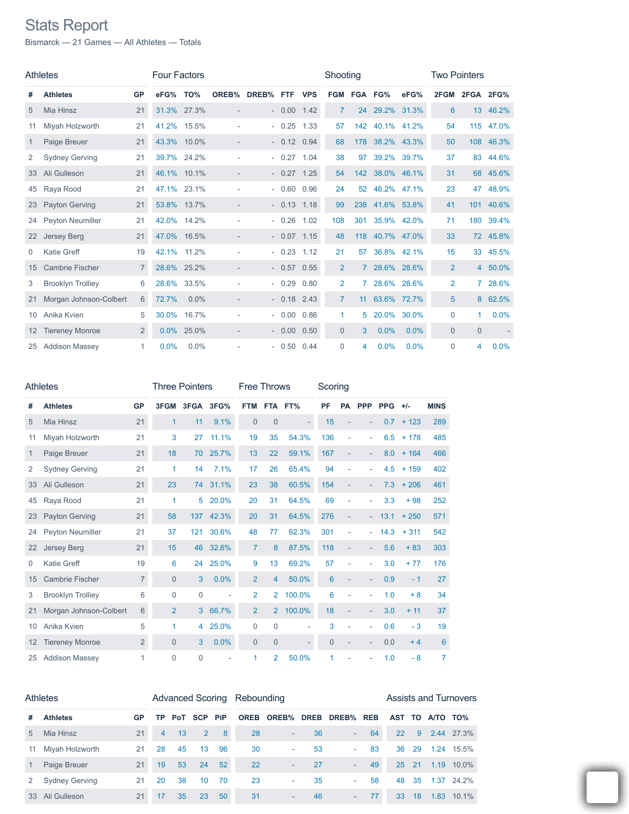## Stats Report

Bismarck — 21 Games — All Athletes — Totals

|    | <b>Athletes</b>          |                | <b>Four Factors</b> |             |                          |           |              |            | Shooting       |                 |                 |             | <b>Two Pointers</b> |                |             |
|----|--------------------------|----------------|---------------------|-------------|--------------------------|-----------|--------------|------------|----------------|-----------------|-----------------|-------------|---------------------|----------------|-------------|
| #  | <b>Athletes</b>          | GP             | eFG%                | TO%         | OREB%                    | DREB% FTF |              | <b>VPS</b> | <b>FGM</b>     |                 | FGA FG%         | eFG%        | 2FGM                | 2FGA           | <b>2FG%</b> |
| 5  | <b>Mia Hinsz</b>         | 21             | 31.3% 27.3%         |             | $\overline{\phantom{a}}$ |           | $-0.00$      | 1.42       | $\overline{7}$ | 24              | 29.2%           | 31.3%       | 6                   | 13             | 46.2%       |
| 11 | Miyah Holzworth          | 21             | 41.2%               | 15.5%       |                          |           | $-0.25$      | 1.33       | 57             | 142             | 40.1%           | 41.2%       | 54                  | 115            | 47.0%       |
| 1  | Paige Breuer             | 21             |                     | 43.3% 10.0% | $\overline{\phantom{a}}$ |           | $-0.12$      | 0.94       | 68             | 178             | 38.2%           | 43.3%       | 50                  |                | 108 46.3%   |
| 2  | <b>Sydney Gerving</b>    | 21             |                     | 39.7% 24.2% |                          |           | $-0.27$      | 1.04       | 38             | 97              | 39.2%           | 39.7%       | 37                  | 83             | 44.6%       |
| 33 | Ali Gulleson             | 21             |                     | 46.1% 10.1% |                          |           | $-0.27$ 1.25 |            | 54             |                 | 142 38.0% 46.1% |             | 31                  |                | 68 45.6%    |
| 45 | Raya Rood                | 21             | 47.1% 23.1%         |             |                          |           | $-0.60$      | 0.96       | 24             | 52 <sup>5</sup> | 46.2%           | 47.1%       | 23                  | 47             | 48.9%       |
| 23 | <b>Payton Gerving</b>    | 21             |                     | 53.8% 13.7% |                          |           | $-0.13$ 1.18 |            | 99             |                 | 238 41.6% 53.8% |             | 41                  | 101            | 40.6%       |
| 24 | Peyton Neumiller         | 21             |                     | 42.0% 14.2% |                          |           | $-0.26$      | 1.02       | 108            | 301             | 35.9%           | 42.0%       | 71                  | 180            | 39.4%       |
| 22 | <b>Jersey Berg</b>       | 21             |                     | 47.0% 16.5% |                          |           | $-0.07$ 1.15 |            | 48             |                 | 118 40.7% 47.0% |             | 33                  |                | 72 45.8%    |
| 0  | <b>Katie Greff</b>       | 19             | 42.1%               | 11.2%       |                          |           | $-0.23$      | 1.12       | 21             | 57              |                 | 36.8% 42.1% | 15                  | 33             | 45.5%       |
| 15 | <b>Cambrie Fischer</b>   | $\overline{7}$ |                     | 28.6% 25.2% |                          |           | $-0.57$      | 0.55       | $\overline{2}$ |                 | 7 28.6%         | 28.6%       | $\overline{2}$      |                | 4 50.0%     |
| 3  | <b>Brooklyn Trolliey</b> | 6              |                     | 28.6% 33.5% |                          |           | $-0.29$      | 0.80       | $\overline{2}$ |                 | 28.6%           | 28.6%       | $\overline{2}$      | $\mathbf{7}$   | 28.6%       |
| 21 | Morgan Johnson-Colbert   | 6              | 72.7%               | $0.0\%$     |                          |           | $-0.18$ 2.43 |            | $\overline{7}$ | 11 <sup>1</sup> | 63.6% 72.7%     |             | 5                   |                | 8 62.5%     |
| 10 | Anika Kvien              | 5              | 30.0%               | 16.7%       |                          |           | $-0.00$      | 0.86       | $\mathbf{1}$   | 5               | 20.0%           | 30.0%       | $\mathbf 0$         | 1              | 0.0%        |
| 12 | <b>Tiereney Monroe</b>   | $\overline{2}$ |                     | 0.0% 25.0%  |                          |           | $-0.00$      | 0.50       | $\Omega$       | 3               | 0.0%            | 0.0%        | $\Omega$            | $\overline{0}$ |             |
| 25 | <b>Addison Massey</b>    | 1.             | 0.0%                | 0.0%        |                          |           | $-0.50$      | 0.44       | 0              | 4               | 0.0%            | 0.0%        | 0                   | 4              | 0.0%        |

| <b>Athletes</b> |                          | <b>Three Pointers</b> |                |                | <b>Free Throws</b> | Scoring        |                |        |     |                          |                          |            |         |             |
|-----------------|--------------------------|-----------------------|----------------|----------------|--------------------|----------------|----------------|--------|-----|--------------------------|--------------------------|------------|---------|-------------|
| #               | <b>Athletes</b>          | <b>GP</b>             |                | 3FGM 3FGA 3FG% |                    |                | FTM FTA FT%    |        | PF  |                          | PA PPP                   | <b>PPG</b> | $+/-$   | <b>MINS</b> |
| 5               | Mia Hinsz                | 21                    | 1              | 11             | 9.1%               | $\mathbf{0}$   | 0              |        | 15  |                          |                          | 0.7        | $+123$  | 289         |
| 11              | Miyah Holzworth          | 21                    | 3              | 27             | 11.1%              | 19             | 35             | 54.3%  | 136 |                          | ÷                        | 6.5        | $+ 178$ | 485         |
| $\mathbf{1}$    | Paige Breuer             | 21                    | 18             | 70             | 25.7%              | 13             | 22             | 59.1%  | 167 |                          | $\overline{\phantom{0}}$ | 8.0        | $+164$  | 466         |
| 2               | <b>Sydney Gerving</b>    | 21                    | 1              | 14             | 7.1%               | 17             | 26             | 65.4%  | 94  |                          | ٠                        | 4.5        | $+159$  | 402         |
| 33              | Ali Gulleson             | 21                    | 23             | 74             | 31.1%              | 23             | 38             | 60.5%  | 154 | $\overline{\phantom{m}}$ |                          | 7.3        | $+206$  | 461         |
| 45              | Raya Rood                | 21                    | 1              | 5              | 20.0%              | 20             | 31             | 64.5%  | 69  | ÷,                       |                          | 3.3        | $+98$   | 252         |
| 23              | <b>Payton Gerving</b>    | 21                    | 58             | 137            | 42.3%              | 20             | 31             | 64.5%  | 276 | $\overline{\phantom{m}}$ |                          | 13.1       | $+250$  | 571         |
| 24              | Peyton Neumiller         | 21                    | 37             | 121            | 30.6%              | 48             | 77             | 62.3%  | 301 | ÷,                       |                          | 14.3       | $+311$  | 542         |
| 22              | Jersey Berg              | 21                    | 15             | 46             | 32.6%              | $\overline{7}$ | 8              | 87.5%  | 118 |                          |                          | 5.6        | $+83$   | 303         |
| 0               | <b>Katie Greff</b>       | 19                    | 6              | 24             | 25.0%              | 9              | 13             | 69.2%  | 57  |                          | ÷.                       | 3.0        | $+77$   | 176         |
| 15              | <b>Cambrie Fischer</b>   | $\overline{7}$        | $\overline{0}$ | 3              | 0.0%               | $\overline{2}$ | $\overline{4}$ | 50.0%  | 6   |                          |                          | 0.9        | $-1$    | 27          |
| 3               | <b>Brooklyn Trolliey</b> | 6                     | $\mathbf 0$    | 0              | ÷,                 | 2              | $\overline{2}$ | 100.0% | 6   |                          |                          | 1.0        | $+8$    | 34          |
| 21              | Morgan Johnson-Colbert   | $6\,$                 | $\overline{2}$ | 3              | 66.7%              | $\overline{2}$ | $\overline{2}$ | 100.0% | 18  |                          |                          | 3.0        | $+ 11$  | 37          |
| 10              | Anika Kvien              | 5                     | 1              | $\overline{4}$ | 25.0%              | $\mathbf 0$    | 0              |        | 3   |                          | ۰                        | 0.6        | $-3$    | 19          |
| 12              | <b>Tiereney Monroe</b>   | $\overline{2}$        | $\mathbf{0}$   | 3              | 0.0%               | $\mathbf{0}$   | 0              |        | 0   |                          | $\qquad \qquad -$        | 0.0        | $+4$    | 6           |
| 25              | <b>Addison Massev</b>    | 1                     | $\Omega$       | 0              |                    | 1              | 2              | 50.0%  | 1   |                          |                          | 1.0        | - 8     | 7           |

| <b>Athletes</b> |                       |           |                |     |                 |      | Advanced Scoring Rebounding |                          |    |                          |    | <b>Assists and Turnovers</b> |    |             |            |
|-----------------|-----------------------|-----------|----------------|-----|-----------------|------|-----------------------------|--------------------------|----|--------------------------|----|------------------------------|----|-------------|------------|
| #               | <b>Athletes</b>       | <b>GP</b> | TP.            | PoT | SCP             | PiP  | <b>OREB</b>                 |                          |    | OREB% DREB DREB% REB     |    | AST TO                       |    | <b>A/TO</b> | - то%      |
| $5 -$           | Mia Hinsz             | 21        | $\overline{4}$ | 13  | 2               | 8    | 28                          | $\overline{\phantom{a}}$ | 36 | $\overline{\phantom{a}}$ | 64 | 22 <sub>2</sub>              | 9  |             | 2.44 27.3% |
| 11              | Miyah Holzworth       | 21        | 28             | 45  | 13              | 96   | 30                          | ۰                        | 53 |                          | 83 | 36                           | 29 | 1 24        | $15.5\%$   |
|                 | Paige Breuer          | 21        | 19             | 53  | 24              | 52   | 22                          |                          | 27 | ۰.                       | 49 | 25                           | 21 | 1.19        | $10.0\%$   |
| 2               | <b>Sydney Gerving</b> | 21        | 20             | 38  | 10 <sup>°</sup> | - 70 | 23                          | ۰                        | 35 | ۰                        | 58 | 48                           | 35 | 1.37        | 24 2%      |
| 33              | Ali Gulleson          | 21        | 17             | 35  | 23              | 50   | 31                          |                          | 46 | $\overline{\phantom{a}}$ | 77 | 33                           | 18 | 1.83        | $101\%$    |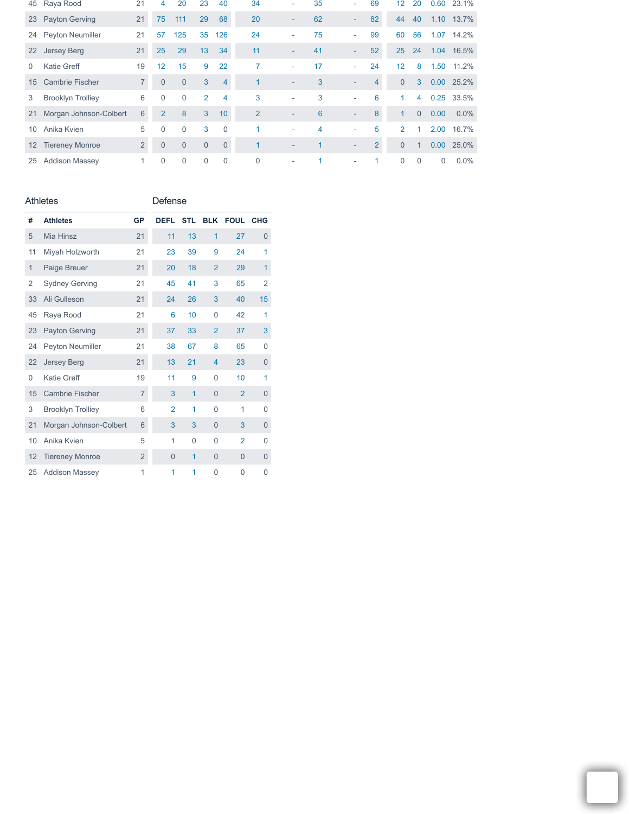|                 | 45 Raya Rood             | 21             | 4              | 20             | 23             | 40             | 34             | ٠                        | 35 | ٠                        | 69             | 12             | 20             |                   | 0.60 23.1% |
|-----------------|--------------------------|----------------|----------------|----------------|----------------|----------------|----------------|--------------------------|----|--------------------------|----------------|----------------|----------------|-------------------|------------|
|                 | 23 Payton Gerving        | 21             | 75             | 111            | 29             | 68             | 20             | $\overline{\phantom{0}}$ | 62 | $\overline{\phantom{a}}$ | 82             | 44             | 40             |                   | 1.10 13.7% |
| 24              | <b>Peyton Neumiller</b>  | 21             | 57             | 125            | 35             | 126            | 24             | ٠                        | 75 | ۰                        | 99             | 60             | 56             | 1.07              | 14.2%      |
| <b>22</b>       | <b>Jersey Berg</b>       | 21             | 25             | 29             | 13             | 34             | 11             | ۰.                       | 41 | $\overline{\phantom{a}}$ | 52             | 25             | 24             |                   | 1.04 16.5% |
| $\Omega$        | <b>Katie Greff</b>       | 19             | 12             | 15             | 9              | 22             | 7              | ٠                        | 17 | ۰                        | 24             | 12             | 8              | 1.50              | 11.2%      |
| 15 <sup>1</sup> | <b>Cambrie Fischer</b>   | $\overline{7}$ | $\Omega$       | $\overline{0}$ | 3              | 4              |                | ۰.                       | 3  | ٠                        | 4              | $\Omega$       | 3              |                   | 0.00 25.2% |
| 3               | <b>Brooklyn Trolliey</b> | 6              | $\theta$       | $\Omega$       | $\overline{2}$ | $\overline{4}$ | 3              | ٠                        | 3  | ۰                        | 6              | $\mathbf{1}$   | $\overline{4}$ | 0.25              | 33.5%      |
| 21              | Morgan Johnson-Colbert   | 6              | $\overline{2}$ | 8              | 3              | 10             | $\overline{2}$ | $\overline{\phantom{a}}$ | 6  | $\overline{\phantom{a}}$ | 8              |                | $\Omega$       | 0.00              | 0.0%       |
| 10              | Anika Kvien              | 5              | $\theta$       | $\Omega$       | 3              | $\Omega$       | 1              | ٠                        | 4  | ٠                        | 5              | $\mathcal{P}$  | 1              | 2.00              | 16.7%      |
|                 | 12 Tiereney Monroe       | $\overline{2}$ | $\overline{0}$ | $\overline{0}$ | $\Omega$       | $\Omega$       |                | $\overline{\phantom{a}}$ |    |                          | $\overline{2}$ | $\overline{0}$ |                | 0.00 <sub>1</sub> | 25.0%      |
|                 | 25 Addison Massey        |                | $\Omega$       | $\Omega$       | $\Omega$       | $\Omega$       | $\overline{0}$ | ٠                        |    |                          |                | $\Omega$       | $\Omega$       | $\Omega$          | $0.0\%$    |

## Athletes

Defense

| #            | <b>Athletes</b>          | GP             | <b>DEFL</b>    | <b>STL</b>     |                | <b>BLK FOUL CHG</b> |                |
|--------------|--------------------------|----------------|----------------|----------------|----------------|---------------------|----------------|
| 5            | Mia Hinsz                | 21             | 11             | 13             | $\overline{1}$ | 27                  | $\mathbf 0$    |
| 11           | Miyah Holzworth          | 21             | 23             | 39             | 9              | 24                  | 1              |
| $\mathbf{1}$ | Paige Breuer             | 21             | 20             | 18             | $\overline{2}$ | 29                  | $\overline{1}$ |
| 2            | <b>Sydney Gerving</b>    | 21             | 45             | 41             | 3              | 65                  | $\overline{2}$ |
| 33           | Ali Gulleson             | 21             | 24             | 26             | 3              | 40                  | 15             |
| 45           | Raya Rood                | 21             | 6              | 10             | $\mathbf{0}$   | 42                  | 1              |
| 23           | <b>Payton Gerving</b>    | 21             | 37             | 33             | $\overline{2}$ | 37                  | 3              |
| 24           | Peyton Neumiller         | 21             | 38             | 67             | 8              | 65                  | 0              |
| 22           | <b>Jersey Berg</b>       | 21             | 13             | 21             | $\overline{4}$ | 23                  | 0              |
| 0            | Katie Greff              | 19             | 11             | 9              | $\Omega$       | 10                  | 1              |
| 15           | <b>Cambrie Fischer</b>   | $\overline{7}$ | 3              | 1              | $\Omega$       | $\overline{2}$      | $\overline{0}$ |
| 3            | <b>Brooklyn Trolliey</b> | 6              | $\overline{2}$ | 1              | $\mathbf{0}$   | 1                   | 0              |
| 21           | Morgan Johnson-Colbert   | 6              | 3              | 3              | $\overline{0}$ | 3                   | 0              |
| 10           | Anika Kvien              | 5              | 1              | $\overline{0}$ | $\mathbf{0}$   | $\overline{2}$      | 0              |
| 12           | <b>Tiereney Monroe</b>   | $\overline{2}$ | $\overline{0}$ | $\mathbf{1}$   | $\Omega$       | $\Omega$            | 0              |
| 25           | <b>Addison Massey</b>    | 1              | 1              | 1              | $\Omega$       | $\Omega$            | 0              |